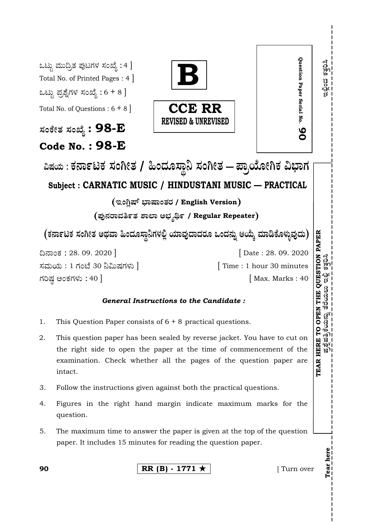|                                                                                        | Question Paper Serial No.<br>ಒಟ್ಟು ಮುದ್ರಿತ ಪುಟಗಳ ಸಂಖ್ಯೆ : 4 ]<br>Total No. of Printed Pages: 4<br>ಒಟ್ಟು ಪ್ರಶ್ನೆಗಳ ಸಂಖ್ಯೆ : 6 + 8 ]<br><b>CCE RR</b><br>Total No. of Questions : $6 + 8$<br><b>REVISED &amp; UNREVISED</b><br>ಸಂಕೇತ ಸಂಖ್ಯೆ : 98- $\bf E$<br>80<br><b>Code No.: 98-E</b><br>ವಿಷಯ : ಕರ್ನಾಟಕ ಸಂಗೀತ / ಹಿಂದೂಸ್ಥಾನಿ ಸಂಗೀತ – ಪ್ರಾಯೋಗಿಕ ವಿಭಾಗ<br>Subject: CARNATIC MUSIC / HINDUSTANI MUSIC — PRACTICAL | ดวิ<br>วัตว<br>าช<br>$\frac{1}{2}$<br>Ø                        |
|----------------------------------------------------------------------------------------|----------------------------------------------------------------------------------------------------------------------------------------------------------------------------------------------------------------------------------------------------------------------------------------------------------------------------------------------------------------------------------------------------------------|----------------------------------------------------------------|
| (ಇಂಗ್ಷಿಷ್ ಭಾಷಾಂತರ / English Version)<br>(ಪುನರಾವರ್ತಿತ ಶಾಲಾ ಅಭ್ಯರ್ಥಿ / Regular Repeater) |                                                                                                                                                                                                                                                                                                                                                                                                                |                                                                |
| (ಕರ್ನಾಟಕ ಸಂಗೀತ ಅಥವಾ ಹಿಂದೂಸ್ಥಾನಿಗಳಲ್ಲಿ ಯಾವುದಾದರೂ ಒಂದನ್ನು ಆಯ್ಕೆ ಮಾಡಿಕೊಳ್ಳುವುದು)          |                                                                                                                                                                                                                                                                                                                                                                                                                |                                                                |
|                                                                                        | ದಿನಾಂಕ : 28. 09. 2020  <br>Date: 28. 09. 2020<br>ಸಮಯ : 1 ಗಂಟೆ 30 ನಿಮಿಷಗಳು ]<br>Time : 1 hour 30 minutes<br>ಗರಿಷ್ಠ ಅಂಕಗಳು : 40 ]<br>Max. Marks: 40                                                                                                                                                                                                                                                              | <b>PAPER</b><br>QUESTION<br>ಬ ಇಲ್ಲಿ ಕತ್ತರಿಸಿ                   |
| <i><b>General Instructions to the Candidate :</b></i>                                  |                                                                                                                                                                                                                                                                                                                                                                                                                |                                                                |
| 1.                                                                                     | This Question Paper consists of $6 + 8$ practical questions.                                                                                                                                                                                                                                                                                                                                                   | ဢ<br>99<br>EN                                                  |
| 2.                                                                                     | This question paper has been sealed by reverse jacket. You have to cut on<br>the right side to open the paper at the time of commencement of the<br>examination. Check whether all the pages of the question paper are<br>intact.                                                                                                                                                                              | ĴΡ.<br>ன)<br>13.<br>д<br><b>HER</b><br>าจั≀<br>าวู่) เ<br>TEAR |
| 3.                                                                                     | Follow the instructions given against both the practical questions.                                                                                                                                                                                                                                                                                                                                            |                                                                |
| 4.                                                                                     | Figures in the right hand margin indicate maximum marks for the<br>question.                                                                                                                                                                                                                                                                                                                                   |                                                                |
| 5.                                                                                     | The maximum time to answer the paper is given at the top of the question<br>paper. It includes 15 minutes for reading the question paper.                                                                                                                                                                                                                                                                      |                                                                |
| 90                                                                                     | RR (B) - 1771 $\star$<br>Turn over                                                                                                                                                                                                                                                                                                                                                                             | Tear here                                                      |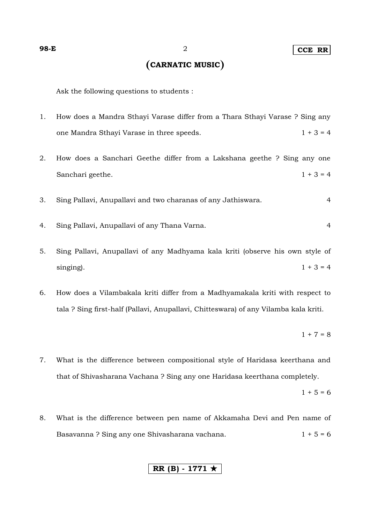# **CARNATIC MUSIC**

Ask the following questions to students :

- 1. How does a Mandra Sthayi Varase differ from a Thara Sthayi Varase ? Sing any one Mandra Sthayi Varase in three speeds.  $1 + 3 = 4$
- 2. How does a Sanchari Geethe differ from a Lakshana geethe ? Sing any one Sanchari geethe.  $1 + 3 = 4$
- 3. Sing Pallavi, Anupallavi and two charanas of any Jathiswara. 4
- 4. Sing Pallavi, Anupallavi of any Thana Varna. 4
- 5. Sing Pallavi, Anupallavi of any Madhyama kala kriti (observe his own style of singing).  $1 + 3 = 4$
- 6. How does a Vilambakala kriti differ from a Madhyamakala kriti with respect to tala ? Sing first-half (Pallavi, Anupallavi, Chitteswara) of any Vilamba kala kriti.

$$
1+7=8
$$

7. What is the difference between compositional style of Haridasa keerthana and that of Shivasharana Vachana ? Sing any one Haridasa keerthana completely.

 $1 + 5 = 6$ 

8. What is the difference between pen name of Akkamaha Devi and Pen name of Basavanna ? Sing any one Shivasharana vachana. 1 + 5 = 6

### **RR (B) - 1771**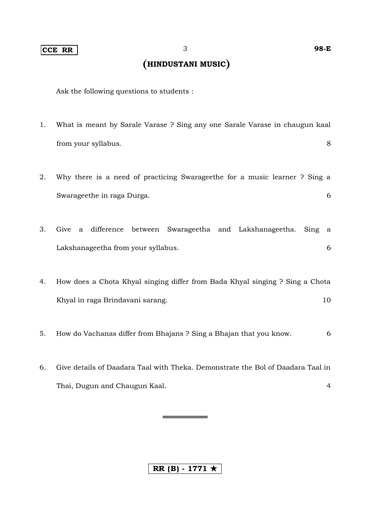## **CCE RR** 3 **98-E**

# **HINDUSTANI MUSIC**

Ask the following questions to students :

- 1. What is meant by Sarale Varase ? Sing any one Sarale Varase in chaugun kaal from your syllabus. 8
- 2. Why there is a need of practicing Swarageethe for a music learner ? Sing a Swarageethe in raga Durga. 6
- 3. Give a difference between Swarageetha and Lakshanageetha. Sing a Lakshanageetha from your syllabus. 6
- 4. How does a Chota Khyal singing differ from Bada Khyal singing ? Sing a Chota Khyal in raga Brindavani sarang. 10
- 5. How do Vachanas differ from Bhajans ? Sing a Bhajan that you know. 6
- 6. Give details of Daadara Taal with Theka. Demonstrate the Bol of Daadara Taal in Thai, Dugun and Chaugun Kaal. 4

 $RR(B) - 1771 \star$